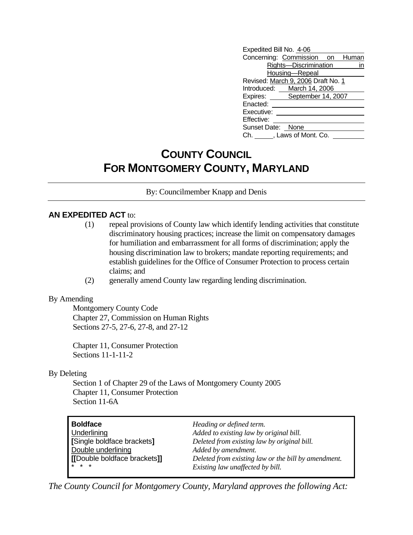| Expedited Bill No. 4-06 |                                    |    |
|-------------------------|------------------------------------|----|
|                         | Concerning: Commission on Human    |    |
|                         | Rights-Discrimination              | in |
|                         | Housing-Repeal                     |    |
|                         | Revised: March 9, 2006 Draft No. 1 |    |
|                         | Introduced: March 14, 2006         |    |
|                         | Expires: September 14, 2007        |    |
| Enacted:                |                                    |    |
| Executive:              |                                    |    |
| Effective:              |                                    |    |
| Sunset Date: None       |                                    |    |
| Ch.                     | , Laws of Mont. Co.                |    |

# **COUNTY COUNCIL FOR MONTGOMERY COUNTY, MARYLAND**

By: Councilmember Knapp and Denis

## **AN EXPEDITED ACT** to:

- (1) repeal provisions of County law which identify lending activities that constitute discriminatory housing practices; increase the limit on compensatory damages for humiliation and embarrassment for all forms of discrimination; apply the housing discrimination law to brokers; mandate reporting requirements; and establish guidelines for the Office of Consumer Protection to process certain claims; and
- (2) generally amend County law regarding lending discrimination.

### By Amending

 Montgomery County Code Chapter 27, Commission on Human Rights Sections 27-5, 27-6, 27-8, and 27-12

Chapter 11, Consumer Protection Sections 11-1-11-2

### By Deleting

Section 1 of Chapter 29 of the Laws of Montgomery County 2005 Chapter 11, Consumer Protection Section 11-6A

| <b>Boldface</b><br>Underlining<br>[Single boldface brackets]<br>Double underlining<br>[Double boldface brackets]]<br>$* * *$ | Heading or defined term.<br>Added to existing law by original bill.<br>Deleted from existing law by original bill.<br>Added by amendment.<br>Deleted from existing law or the bill by amendment. |
|------------------------------------------------------------------------------------------------------------------------------|--------------------------------------------------------------------------------------------------------------------------------------------------------------------------------------------------|
|                                                                                                                              | Existing law unaffected by bill.                                                                                                                                                                 |

*The County Council for Montgomery County, Maryland approves the following Act:*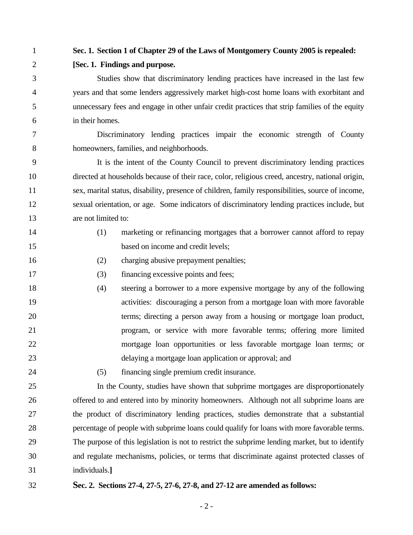## 1 **Sec. 1. Section 1 of Chapter 29 of the Laws of Montgomery County 2005 is repealed:**

2 **[Sec. 1. Findings and purpose.** 

3 Studies show that discriminatory lending practices have increased in the last few 4 years and that some lenders aggressively market high-cost home loans with exorbitant and 5 unnecessary fees and engage in other unfair credit practices that strip families of the equity 6 in their homes.

7 Discriminatory lending practices impair the economic strength of County 8 homeowners, families, and neighborhoods.

9 It is the intent of the County Council to prevent discriminatory lending practices 10 directed at households because of their race, color, religious creed, ancestry, national origin, 11 sex, marital status, disability, presence of children, family responsibilities, source of income, 12 sexual orientation, or age. Some indicators of discriminatory lending practices include, but 13 are not limited to:

- 
- 14 (1) marketing or refinancing mortgages that a borrower cannot afford to repay 15 based on income and credit levels;
- 16 (2) charging abusive prepayment penalties;
- 17 (3) financing excessive points and fees;
- 18 (4) steering a borrower to a more expensive mortgage by any of the following 19 activities: discouraging a person from a mortgage loan with more favorable 20 terms; directing a person away from a housing or mortgage loan product, 21 program, or service with more favorable terms; offering more limited 22 mortgage loan opportunities or less favorable mortgage loan terms; or 23 delaying a mortgage loan application or approval; and
- 
- 24 (5) financing single premium credit insurance.

25 In the County, studies have shown that subprime mortgages are disproportionately 26 offered to and entered into by minority homeowners. Although not all subprime loans are 27 the product of discriminatory lending practices, studies demonstrate that a substantial 28 percentage of people with subprime loans could qualify for loans with more favorable terms. 29 The purpose of this legislation is not to restrict the subprime lending market, but to identify 30 and regulate mechanisms, policies, or terms that discriminate against protected classes of 31 individuals.**]** 

32 **Sec. 2. Sections 27-4, 27-5, 27-6, 27-8, and 27-12 are amended as follows:**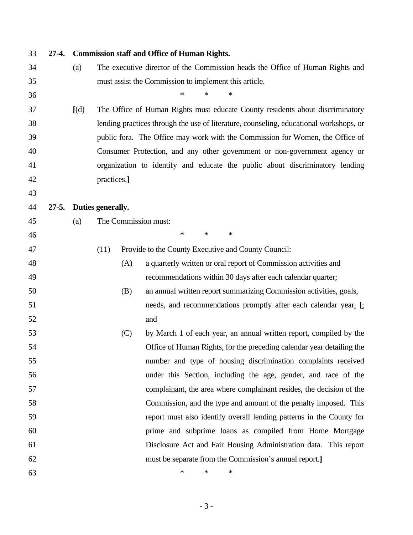| 33 | $27-4.$   |       |                   |     | <b>Commission staff and Office of Human Rights.</b>                                    |
|----|-----------|-------|-------------------|-----|----------------------------------------------------------------------------------------|
| 34 |           | (a)   |                   |     | The executive director of the Commission heads the Office of Human Rights and          |
| 35 |           |       |                   |     | must assist the Commission to implement this article.                                  |
| 36 |           |       |                   |     | $\ast$<br>*<br>*                                                                       |
| 37 |           | [(d)] |                   |     | The Office of Human Rights must educate County residents about discriminatory          |
| 38 |           |       |                   |     | lending practices through the use of literature, counseling, educational workshops, or |
| 39 |           |       |                   |     | public fora. The Office may work with the Commission for Women, the Office of          |
| 40 |           |       |                   |     | Consumer Protection, and any other government or non-government agency or              |
| 41 |           |       |                   |     | organization to identify and educate the public about discriminatory lending           |
| 42 |           |       | practices.]       |     |                                                                                        |
| 43 |           |       |                   |     |                                                                                        |
| 44 | $27 - 5.$ |       | Duties generally. |     |                                                                                        |
| 45 |           | (a)   |                   |     | The Commission must:                                                                   |
| 46 |           |       |                   |     | $\ast$<br>$\ast$<br>$\ast$                                                             |
| 47 |           |       | (11)              |     | Provide to the County Executive and County Council:                                    |
| 48 |           |       |                   | (A) | a quarterly written or oral report of Commission activities and                        |
| 49 |           |       |                   |     | recommendations within 30 days after each calendar quarter;                            |
| 50 |           |       |                   | (B) | an annual written report summarizing Commission activities, goals,                     |
| 51 |           |       |                   |     | needs, and recommendations promptly after each calendar year. [                        |
| 52 |           |       |                   |     | and                                                                                    |
| 53 |           |       |                   | (C) | by March 1 of each year, an annual written report, compiled by the                     |
| 54 |           |       |                   |     | Office of Human Rights, for the preceding calendar year detailing the                  |
| 55 |           |       |                   |     | number and type of housing discrimination complaints received                          |
| 56 |           |       |                   |     | under this Section, including the age, gender, and race of the                         |
| 57 |           |       |                   |     | complainant, the area where complainant resides, the decision of the                   |
| 58 |           |       |                   |     | Commission, and the type and amount of the penalty imposed. This                       |
| 59 |           |       |                   |     | report must also identify overall lending patterns in the County for                   |
| 60 |           |       |                   |     | prime and subprime loans as compiled from Home Mortgage                                |
| 61 |           |       |                   |     | Disclosure Act and Fair Housing Administration data. This report                       |
| 62 |           |       |                   |     | must be separate from the Commission's annual report.]                                 |
| 63 |           |       |                   |     | $\ast$<br>*<br>*                                                                       |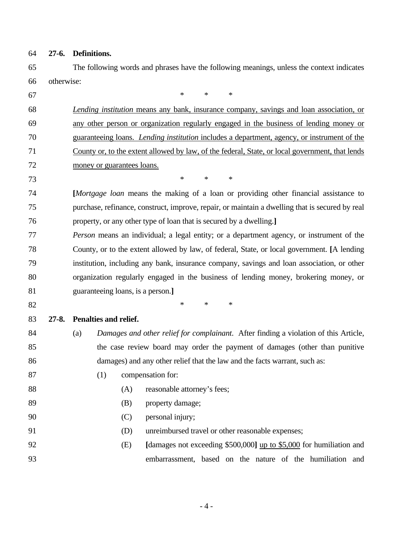- 64 **27-6. Definitions.**
- 65 The following words and phrases have the following meanings, unless the context indicates 66 otherwise:

67  $*$  \* \* \*

68 *Lending institution* means any bank, insurance company, savings and loan association, or 69 any other person or organization regularly engaged in the business of lending money or 70 guaranteeing loans. *Lending institution* includes a department, agency, or instrument of the 71 County or, to the extent allowed by law, of the federal, State, or local government, that lends 72 money or guarantees loans. 73 \* \* \* 74 **[***Mortgage loan* means the making of a loan or providing other financial assistance to 75 purchase, refinance, construct, improve, repair, or maintain a dwelling that is secured by real 76 property, or any other type of loan that is secured by a dwelling.**]** 77 *Person* means an individual; a legal entity; or a department agency, or instrument of the 78 County, or to the extent allowed by law, of federal, State, or local government. **[**A lending 79 institution, including any bank, insurance company, savings and loan association, or other 80 organization regularly engaged in the business of lending money, brokering money, or 81 guaranteeing loans, is a person.**]** 82  $*$  \* \* \* 83 **27-8. Penalties and relief.**  84 (a) *Damages and other relief for complainant*. After finding a violation of this Article, 85 the case review board may order the payment of damages (other than punitive 86 damages) and any other relief that the law and the facts warrant, such as: 87 (1) compensation for: 88 (A) reasonable attorney's fees; 89 (B) property damage; 90 (C) personal injury; 91 (D) unreimbursed travel or other reasonable expenses; 92 (E) **[**damages not exceeding \$500,000**]** up to \$5,000 for humiliation and 93 embarrassment, based on the nature of the humiliation and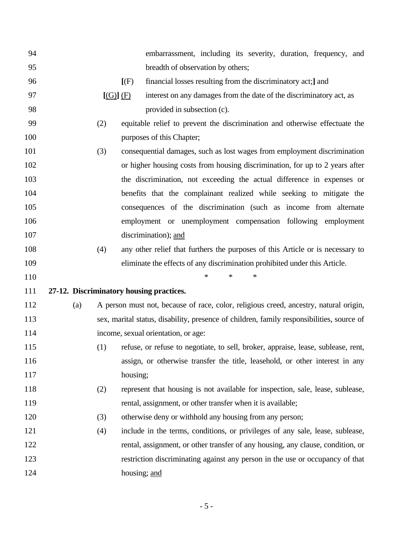| 94  |                                          |          |              | embarrassment, including its severity, duration, frequency, and                           |
|-----|------------------------------------------|----------|--------------|-------------------------------------------------------------------------------------------|
| 95  |                                          |          |              | breadth of observation by others;                                                         |
| 96  |                                          |          | $[$ (F)      | financial losses resulting from the discriminatory act; and                               |
| 97  |                                          | [(G)](F) |              | interest on any damages from the date of the discriminatory act, as                       |
| 98  |                                          |          |              | provided in subsection (c).                                                               |
| 99  |                                          | (2)      |              | equitable relief to prevent the discrimination and otherwise effectuate the               |
| 100 |                                          |          |              | purposes of this Chapter;                                                                 |
| 101 |                                          | (3)      |              | consequential damages, such as lost wages from employment discrimination                  |
| 102 |                                          |          |              | or higher housing costs from housing discrimination, for up to 2 years after              |
| 103 |                                          |          |              | the discrimination, not exceeding the actual difference in expenses or                    |
| 104 |                                          |          |              | benefits that the complainant realized while seeking to mitigate the                      |
| 105 |                                          |          |              | consequences of the discrimination (such as income from alternate                         |
| 106 |                                          |          |              | employment or unemployment compensation following employment                              |
| 107 |                                          |          |              | discrimination); and                                                                      |
| 108 |                                          | (4)      |              | any other relief that furthers the purposes of this Article or is necessary to            |
| 109 |                                          |          |              | eliminate the effects of any discrimination prohibited under this Article.                |
| 110 |                                          |          |              | *<br>∗<br>*                                                                               |
| 111 | 27-12. Discriminatory housing practices. |          |              |                                                                                           |
| 112 | (a)                                      |          |              | A person must not, because of race, color, religious creed, ancestry, natural origin,     |
| 113 |                                          |          |              | sex, marital status, disability, presence of children, family responsibilities, source of |
| 114 |                                          |          |              | income, sexual orientation, or age:                                                       |
| 115 |                                          |          |              | (1) refuse, or refuse to negotiate, to sell, broker, appraise, lease, sublease, rent,     |
| 116 |                                          |          |              | assign, or otherwise transfer the title, leasehold, or other interest in any              |
| 117 |                                          |          | housing;     |                                                                                           |
| 118 |                                          | (2)      |              | represent that housing is not available for inspection, sale, lease, sublease,            |
| 119 |                                          |          |              | rental, assignment, or other transfer when it is available;                               |
| 120 |                                          | (3)      |              | otherwise deny or withhold any housing from any person;                                   |
| 121 |                                          | (4)      |              | include in the terms, conditions, or privileges of any sale, lease, sublease,             |
| 122 |                                          |          |              | rental, assignment, or other transfer of any housing, any clause, condition, or           |
| 123 |                                          |          |              | restriction discriminating against any person in the use or occupancy of that             |
| 124 |                                          |          | housing; and |                                                                                           |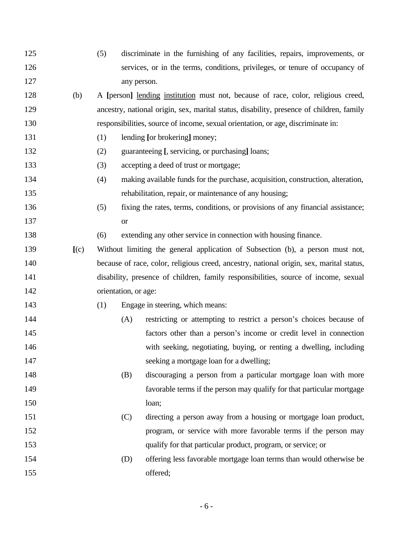| 125 |     | (5) |                      | discriminate in the furnishing of any facilities, repairs, improvements, or              |
|-----|-----|-----|----------------------|------------------------------------------------------------------------------------------|
| 126 |     |     |                      | services, or in the terms, conditions, privileges, or tenure of occupancy of             |
| 127 |     |     | any person.          |                                                                                          |
| 128 | (b) |     |                      | A [person] lending institution must not, because of race, color, religious creed,        |
| 129 |     |     |                      | ancestry, national origin, sex, marital status, disability, presence of children, family |
| 130 |     |     |                      | responsibilities, source of income, sexual orientation, or age, discriminate in:         |
| 131 |     | (1) |                      | lending [or brokering] money;                                                            |
| 132 |     | (2) |                      | guaranteeing [, servicing, or purchasing] loans;                                         |
| 133 |     | (3) |                      | accepting a deed of trust or mortgage;                                                   |
| 134 |     | (4) |                      | making available funds for the purchase, acquisition, construction, alteration,          |
| 135 |     |     |                      | rehabilitation, repair, or maintenance of any housing;                                   |
| 136 |     | (5) |                      | fixing the rates, terms, conditions, or provisions of any financial assistance;          |
| 137 |     |     | <b>or</b>            |                                                                                          |
| 138 |     | (6) |                      | extending any other service in connection with housing finance.                          |
| 139 | (c) |     |                      | Without limiting the general application of Subsection (b), a person must not,           |
| 140 |     |     |                      | because of race, color, religious creed, ancestry, national origin, sex, marital status, |
| 141 |     |     |                      | disability, presence of children, family responsibilities, source of income, sexual      |
| 142 |     |     | orientation, or age: |                                                                                          |
| 143 |     | (1) |                      | Engage in steering, which means:                                                         |
| 144 |     |     | (A)                  | restricting or attempting to restrict a person's choices because of                      |
| 145 |     |     |                      | factors other than a person's income or credit level in connection                       |
| 146 |     |     |                      | with seeking, negotiating, buying, or renting a dwelling, including                      |
| 147 |     |     |                      | seeking a mortgage loan for a dwelling;                                                  |
| 148 |     |     | (B)                  | discouraging a person from a particular mortgage loan with more                          |
| 149 |     |     |                      | favorable terms if the person may qualify for that particular mortgage                   |
| 150 |     |     |                      | loan;                                                                                    |
| 151 |     |     | (C)                  | directing a person away from a housing or mortgage loan product,                         |
| 152 |     |     |                      | program, or service with more favorable terms if the person may                          |
| 153 |     |     |                      | qualify for that particular product, program, or service; or                             |
| 154 |     |     | (D)                  | offering less favorable mortgage loan terms than would otherwise be                      |
| 155 |     |     |                      | offered;                                                                                 |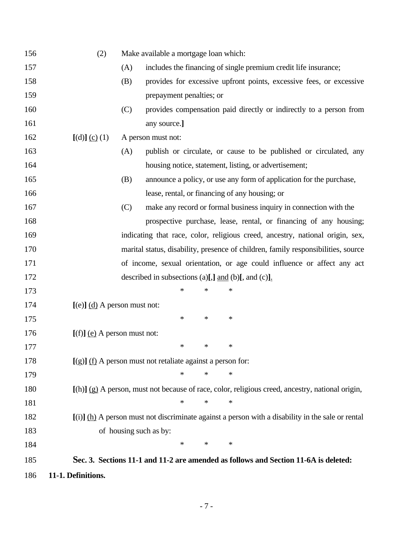| 156 | (2)                            |     | Make available a mortgage loan which:                                                               |  |
|-----|--------------------------------|-----|-----------------------------------------------------------------------------------------------------|--|
| 157 |                                | (A) | includes the financing of single premium credit life insurance;                                     |  |
| 158 |                                | (B) | provides for excessive upfront points, excessive fees, or excessive                                 |  |
| 159 |                                |     | prepayment penalties; or                                                                            |  |
| 160 |                                | (C) | provides compensation paid directly or indirectly to a person from                                  |  |
| 161 |                                |     | any source.]                                                                                        |  |
| 162 | [(d)] (c) (1)                  |     | A person must not:                                                                                  |  |
| 163 |                                | (A) | publish or circulate, or cause to be published or circulated, any                                   |  |
| 164 |                                |     | housing notice, statement, listing, or advertisement;                                               |  |
| 165 |                                | (B) | announce a policy, or use any form of application for the purchase,                                 |  |
| 166 |                                |     | lease, rental, or financing of any housing; or                                                      |  |
| 167 |                                | (C) | make any record or formal business inquiry in connection with the                                   |  |
| 168 |                                |     | prospective purchase, lease, rental, or financing of any housing;                                   |  |
| 169 |                                |     | indicating that race, color, religious creed, ancestry, national origin, sex,                       |  |
| 170 |                                |     | marital status, disability, presence of children, family responsibilities, source                   |  |
| 171 |                                |     | of income, sexual orientation, or age could influence or affect any act                             |  |
| 172 |                                |     | described in subsections (a)[,] $\underline{\text{and}}$ (b)[, and (c)].                            |  |
| 173 |                                |     | *<br>∗<br>*                                                                                         |  |
| 174 | $[(e)]$ (d) A person must not: |     |                                                                                                     |  |
| 175 |                                |     | $\ast$<br>$\ast$<br>∗                                                                               |  |
| 176 | $[(f)]$ (e) A person must not: |     |                                                                                                     |  |
| 177 |                                |     | ∗<br>*<br>∗                                                                                         |  |
| 178 |                                |     | $[(g)]$ (f) A person must not retaliate against a person for:                                       |  |
| 179 |                                |     | *<br>*<br>*                                                                                         |  |
| 180 |                                |     | $[(h)]$ (g) A person, must not because of race, color, religious creed, ancestry, national origin,  |  |
| 181 |                                |     | ∗<br>*<br>*                                                                                         |  |
| 182 |                                |     | $[(i)]$ (h) A person must not discriminate against a person with a disability in the sale or rental |  |
| 183 |                                |     | of housing such as by:                                                                              |  |
| 184 |                                |     | $\ast$<br>∗<br>∗                                                                                    |  |
| 185 |                                |     | Sec. 3. Sections 11-1 and 11-2 are amended as follows and Section 11-6A is deleted:                 |  |
| 186 | 11-1. Definitions.             |     |                                                                                                     |  |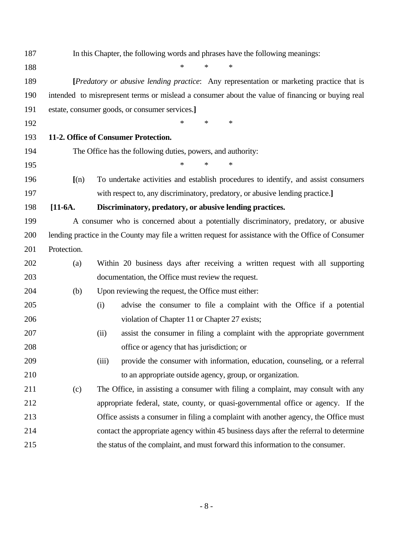| 187 |             | In this Chapter, the following words and phrases have the following meanings:                        |
|-----|-------------|------------------------------------------------------------------------------------------------------|
| 188 |             | $\ast$<br>$\ast$<br>$\ast$                                                                           |
| 189 |             | [Predatory or abusive lending practice: Any representation or marketing practice that is             |
| 190 |             | intended to misrepresent terms or mislead a consumer about the value of financing or buying real     |
| 191 |             | estate, consumer goods, or consumer services.]                                                       |
| 192 |             | ∗<br>*<br>*                                                                                          |
| 193 |             | 11-2. Office of Consumer Protection.                                                                 |
| 194 |             | The Office has the following duties, powers, and authority:                                          |
| 195 |             | $\ast$<br>*<br>*                                                                                     |
| 196 | (n)         | To undertake activities and establish procedures to identify, and assist consumers                   |
| 197 |             | with respect to, any discriminatory, predatory, or abusive lending practice.]                        |
| 198 | $[11-6A.$   | Discriminatory, predatory, or abusive lending practices.                                             |
| 199 |             | A consumer who is concerned about a potentially discriminatory, predatory, or abusive                |
| 200 |             | lending practice in the County may file a written request for assistance with the Office of Consumer |
| 201 | Protection. |                                                                                                      |
| 202 | (a)         | Within 20 business days after receiving a written request with all supporting                        |
| 203 |             | documentation, the Office must review the request.                                                   |
| 204 | (b)         | Upon reviewing the request, the Office must either:                                                  |
| 205 |             | advise the consumer to file a complaint with the Office if a potential<br>(i)                        |
| 206 |             | violation of Chapter 11 or Chapter 27 exists;                                                        |
| 207 |             | assist the consumer in filing a complaint with the appropriate government<br>(ii)                    |
| 208 |             | office or agency that has jurisdiction; or                                                           |
| 209 |             | provide the consumer with information, education, counseling, or a referral<br>(iii)                 |
| 210 |             | to an appropriate outside agency, group, or organization.                                            |
| 211 | (c)         | The Office, in assisting a consumer with filing a complaint, may consult with any                    |
| 212 |             | appropriate federal, state, county, or quasi-governmental office or agency. If the                   |
| 213 |             | Office assists a consumer in filing a complaint with another agency, the Office must                 |
| 214 |             | contact the appropriate agency within 45 business days after the referral to determine               |
| 215 |             | the status of the complaint, and must forward this information to the consumer.                      |